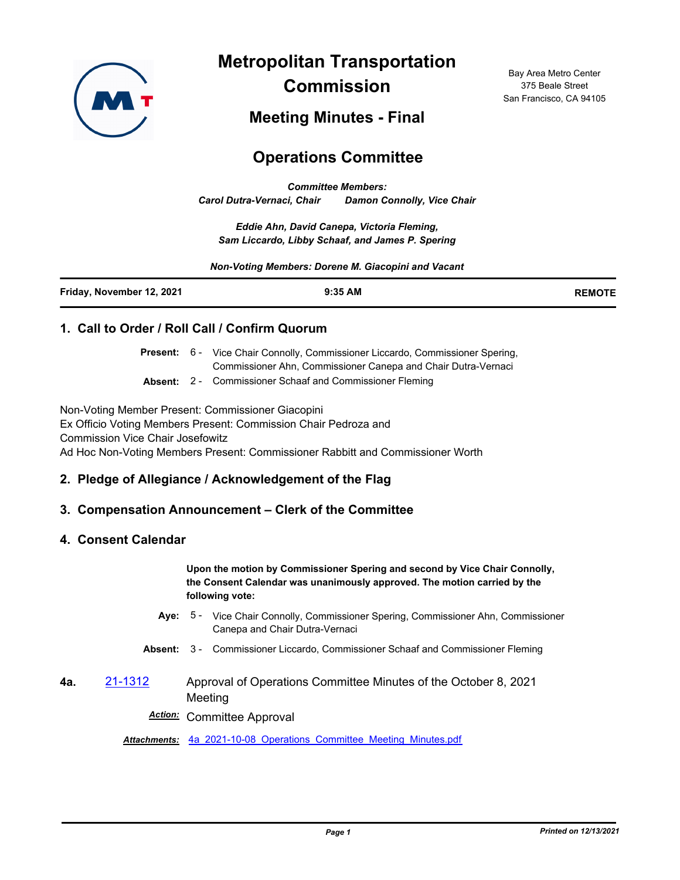

**Metropolitan Transportation Commission**

Bay Area Metro Center 375 Beale Street San Francisco, CA 94105

**Meeting Minutes - Final**

# **Operations Committee**

*Committee Members: Carol Dutra-Vernaci, Chair Damon Connolly, Vice Chair*

*Eddie Ahn, David Canepa, Victoria Fleming, Sam Liccardo, Libby Schaaf, and James P. Spering*

*Non-Voting Members: Dorene M. Giacopini and Vacant*

| Friday, November 12, 2021 | $9:35$ AM | <b>REMOTE</b> |
|---------------------------|-----------|---------------|
|                           |           |               |

## **1. Call to Order / Roll Call / Confirm Quorum**

Present: 6 - Vice Chair Connolly, Commissioner Liccardo, Commissioner Spering, Commissioner Ahn, Commissioner Canepa and Chair Dutra-Vernaci

**Absent:** 2 - Commissioner Schaaf and Commissioner Fleming

Non-Voting Member Present: Commissioner Giacopini Ex Officio Voting Members Present: Commission Chair Pedroza and Commission Vice Chair Josefowitz Ad Hoc Non-Voting Members Present: Commissioner Rabbitt and Commissioner Worth

# **2. Pledge of Allegiance / Acknowledgement of the Flag**

#### **3. Compensation Announcement – Clerk of the Committee**

#### **4. Consent Calendar**

**Upon the motion by Commissioner Spering and second by Vice Chair Connolly, the Consent Calendar was unanimously approved. The motion carried by the following vote:**

- Aye: 5 Vice Chair Connolly, Commissioner Spering, Commissioner Ahn, Commissioner Canepa and Chair Dutra-Vernaci
- **Absent:** 3 Commissioner Liccardo, Commissioner Schaaf and Commissioner Fleming
- **4a.** [21-1312](http://mtc.legistar.com/gateway.aspx?m=l&id=/matter.aspx?key=22904) Approval of Operations Committee Minutes of the October 8, 2021 Meeting

*Action:* Committee Approval

*Attachments:* [4a\\_2021-10-08\\_Operations\\_Committee\\_Meeting\\_Minutes.pdf](http://mtc.legistar.com/gateway.aspx?M=F&ID=3cbb236b-626f-47e3-be94-4813f2b6f8df.pdf)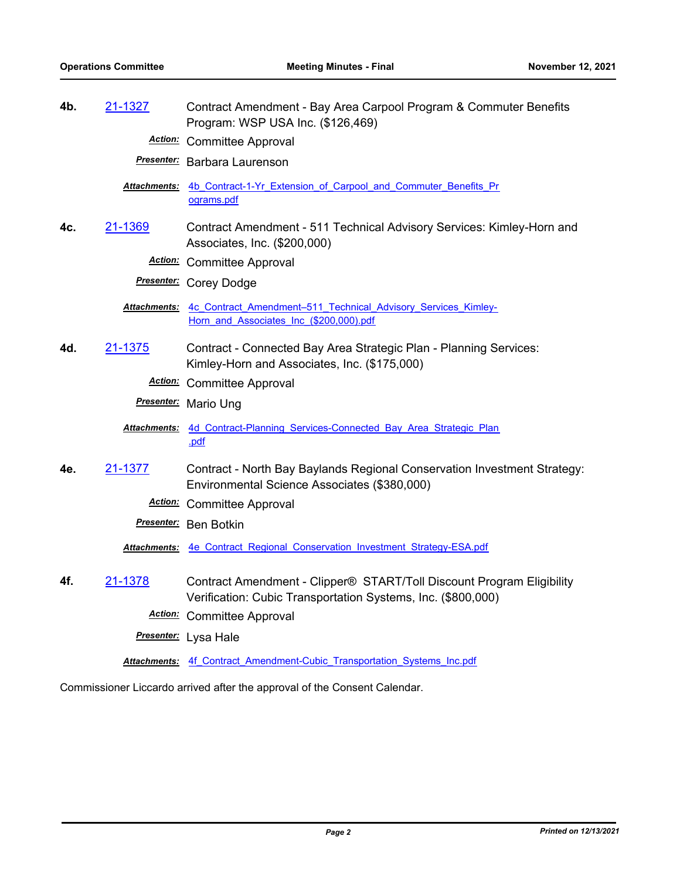| 4b. | 21-1327 | Contract Amendment - Bay Area Carpool Program & Commuter Benefits<br>Program: WSP USA Inc. (\$126,469)                                |
|-----|---------|---------------------------------------------------------------------------------------------------------------------------------------|
|     |         | <b>Action:</b> Committee Approval                                                                                                     |
|     |         | <b>Presenter:</b> Barbara Laurenson                                                                                                   |
|     |         | Attachments: 4b Contract-1-Yr Extension of Carpool and Commuter Benefits Pr<br>ograms.pdf                                             |
| 4c. | 21-1369 | Contract Amendment - 511 Technical Advisory Services: Kimley-Horn and<br>Associates, Inc. (\$200,000)                                 |
|     |         | <b>Action:</b> Committee Approval                                                                                                     |
|     |         | Presenter: Corey Dodge                                                                                                                |
|     |         | Attachments: 4c Contract Amendment-511 Technical Advisory Services Kimley-<br>Horn_and_Associates_Inc_(\$200,000).pdf                 |
| 4d. | 21-1375 | Contract - Connected Bay Area Strategic Plan - Planning Services:<br>Kimley-Horn and Associates, Inc. (\$175,000)                     |
|     |         | <b>Action:</b> Committee Approval                                                                                                     |
|     |         | Presenter: Mario Ung                                                                                                                  |
|     |         | Attachments: 4d Contract-Planning Services-Connected Bay Area Strategic Plan<br>.pdf                                                  |
| 4e. | 21-1377 | Contract - North Bay Baylands Regional Conservation Investment Strategy:<br>Environmental Science Associates (\$380,000)              |
|     |         | <b>Action:</b> Committee Approval                                                                                                     |
|     |         | Presenter: Ben Botkin                                                                                                                 |
|     |         | Attachments: 4e Contract Regional Conservation Investment Strategy-ESA.pdf                                                            |
| 4f. | 21-1378 | Contract Amendment - Clipper® START/Toll Discount Program Eligibility<br>Verification: Cubic Transportation Systems, Inc. (\$800,000) |
|     |         | <b>Action:</b> Committee Approval                                                                                                     |
|     |         | Presenter: Lysa Hale                                                                                                                  |
|     |         | Attachments: 4f Contract Amendment-Cubic Transportation Systems Inc.pdf                                                               |

Commissioner Liccardo arrived after the approval of the Consent Calendar.